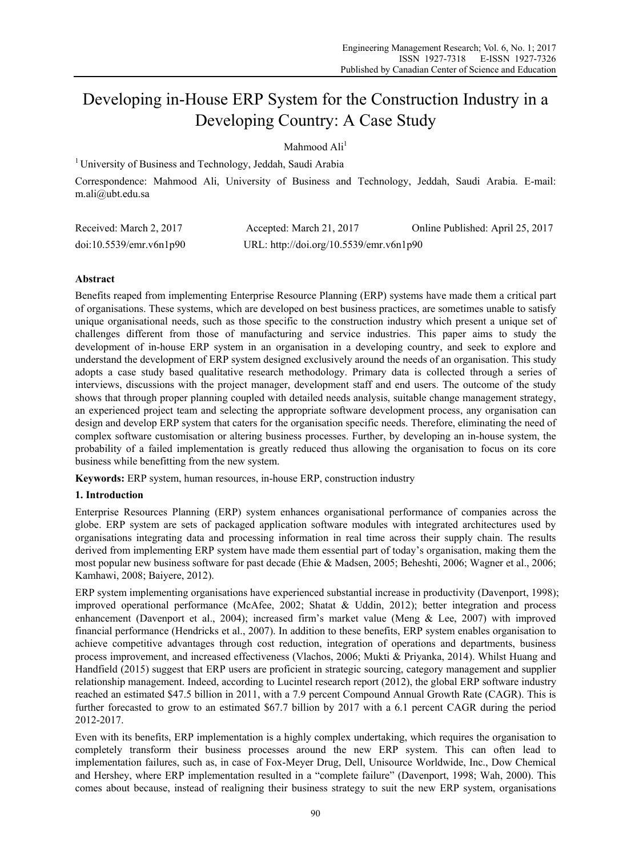# Developing in-House ERP System for the Construction Industry in a Developing Country: A Case Study

Mahmood Ali<sup>1</sup>

<sup>1</sup> University of Business and Technology, Jeddah, Saudi Arabia

Correspondence: Mahmood Ali, University of Business and Technology, Jeddah, Saudi Arabia. E-mail: m.ali@ubt.edu.sa

| Received: March 2, 2017 | Accepted: March 21, 2017                | Online Published: April 25, 2017 |
|-------------------------|-----------------------------------------|----------------------------------|
| doi:10.5539/emr.v6n1p90 | URL: http://doi.org/10.5539/emr.v6n1p90 |                                  |

# **Abstract**

Benefits reaped from implementing Enterprise Resource Planning (ERP) systems have made them a critical part of organisations. These systems, which are developed on best business practices, are sometimes unable to satisfy unique organisational needs, such as those specific to the construction industry which present a unique set of challenges different from those of manufacturing and service industries. This paper aims to study the development of in-house ERP system in an organisation in a developing country, and seek to explore and understand the development of ERP system designed exclusively around the needs of an organisation. This study adopts a case study based qualitative research methodology. Primary data is collected through a series of interviews, discussions with the project manager, development staff and end users. The outcome of the study shows that through proper planning coupled with detailed needs analysis, suitable change management strategy, an experienced project team and selecting the appropriate software development process, any organisation can design and develop ERP system that caters for the organisation specific needs. Therefore, eliminating the need of complex software customisation or altering business processes. Further, by developing an in-house system, the probability of a failed implementation is greatly reduced thus allowing the organisation to focus on its core business while benefitting from the new system.

**Keywords:** ERP system, human resources, in-house ERP, construction industry

## **1. Introduction**

Enterprise Resources Planning (ERP) system enhances organisational performance of companies across the globe. ERP system are sets of packaged application software modules with integrated architectures used by organisations integrating data and processing information in real time across their supply chain. The results derived from implementing ERP system have made them essential part of today's organisation, making them the most popular new business software for past decade (Ehie & Madsen, 2005; Beheshti, 2006; Wagner et al., 2006; Kamhawi, 2008; Baiyere, 2012).

ERP system implementing organisations have experienced substantial increase in productivity (Davenport, 1998); improved operational performance (McAfee, 2002; Shatat & Uddin, 2012); better integration and process enhancement (Davenport et al., 2004); increased firm's market value (Meng & Lee, 2007) with improved financial performance (Hendricks et al., 2007). In addition to these benefits, ERP system enables organisation to achieve competitive advantages through cost reduction, integration of operations and departments, business process improvement, and increased effectiveness (Vlachos, 2006; Mukti & Priyanka, 2014). Whilst Huang and Handfield (2015) suggest that ERP users are proficient in strategic sourcing, category management and supplier relationship management. Indeed, according to Lucintel research report (2012), the global ERP software industry reached an estimated \$47.5 billion in 2011, with a 7.9 percent Compound Annual Growth Rate (CAGR). This is further forecasted to grow to an estimated \$67.7 billion by 2017 with a 6.1 percent CAGR during the period 2012-2017.

Even with its benefits, ERP implementation is a highly complex undertaking, which requires the organisation to completely transform their business processes around the new ERP system. This can often lead to implementation failures, such as, in case of Fox-Meyer Drug, Dell, Unisource Worldwide, Inc., Dow Chemical and Hershey, where ERP implementation resulted in a "complete failure" (Davenport, 1998; Wah, 2000). This comes about because, instead of realigning their business strategy to suit the new ERP system, organisations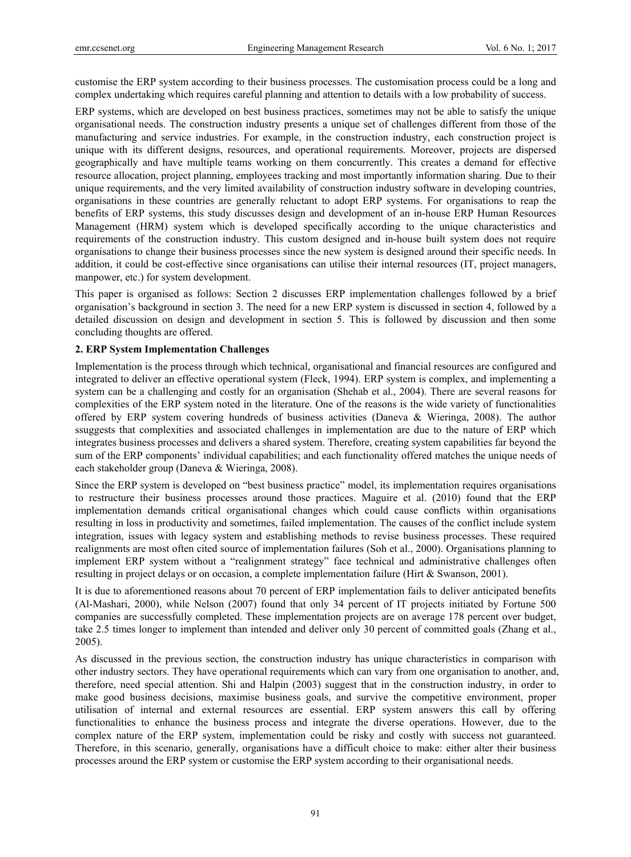customise the ERP system according to their business processes. The customisation process could be a long and complex undertaking which requires careful planning and attention to details with a low probability of success.

ERP systems, which are developed on best business practices, sometimes may not be able to satisfy the unique organisational needs. The construction industry presents a unique set of challenges different from those of the manufacturing and service industries. For example, in the construction industry, each construction project is unique with its different designs, resources, and operational requirements. Moreover, projects are dispersed geographically and have multiple teams working on them concurrently. This creates a demand for effective resource allocation, project planning, employees tracking and most importantly information sharing. Due to their unique requirements, and the very limited availability of construction industry software in developing countries, organisations in these countries are generally reluctant to adopt ERP systems. For organisations to reap the benefits of ERP systems, this study discusses design and development of an in-house ERP Human Resources Management (HRM) system which is developed specifically according to the unique characteristics and requirements of the construction industry. This custom designed and in-house built system does not require organisations to change their business processes since the new system is designed around their specific needs. In addition, it could be cost-effective since organisations can utilise their internal resources (IT, project managers, manpower, etc.) for system development.

This paper is organised as follows: Section 2 discusses ERP implementation challenges followed by a brief organisation's background in section 3. The need for a new ERP system is discussed in section 4, followed by a detailed discussion on design and development in section 5. This is followed by discussion and then some concluding thoughts are offered.

## **2. ERP System Implementation Challenges**

Implementation is the process through which technical, organisational and financial resources are configured and integrated to deliver an effective operational system (Fleck, 1994). ERP system is complex, and implementing a system can be a challenging and costly for an organisation (Shehab et al., 2004). There are several reasons for complexities of the ERP system noted in the literature. One of the reasons is the wide variety of functionalities offered by ERP system covering hundreds of business activities (Daneva & Wieringa, 2008). The author ssuggests that complexities and associated challenges in implementation are due to the nature of ERP which integrates business processes and delivers a shared system. Therefore, creating system capabilities far beyond the sum of the ERP components' individual capabilities; and each functionality offered matches the unique needs of each stakeholder group (Daneva & Wieringa, 2008).

Since the ERP system is developed on "best business practice" model, its implementation requires organisations to restructure their business processes around those practices. Maguire et al. (2010) found that the ERP implementation demands critical organisational changes which could cause conflicts within organisations resulting in loss in productivity and sometimes, failed implementation. The causes of the conflict include system integration, issues with legacy system and establishing methods to revise business processes. These required realignments are most often cited source of implementation failures (Soh et al., 2000). Organisations planning to implement ERP system without a "realignment strategy" face technical and administrative challenges often resulting in project delays or on occasion, a complete implementation failure (Hirt & Swanson, 2001).

It is due to aforementioned reasons about 70 percent of ERP implementation fails to deliver anticipated benefits (Al-Mashari, 2000), while Nelson (2007) found that only 34 percent of IT projects initiated by Fortune 500 companies are successfully completed. These implementation projects are on average 178 percent over budget, take 2.5 times longer to implement than intended and deliver only 30 percent of committed goals (Zhang et al., 2005).

As discussed in the previous section, the construction industry has unique characteristics in comparison with other industry sectors. They have operational requirements which can vary from one organisation to another, and, therefore, need special attention. Shi and Halpin (2003) suggest that in the construction industry, in order to make good business decisions, maximise business goals, and survive the competitive environment, proper utilisation of internal and external resources are essential. ERP system answers this call by offering functionalities to enhance the business process and integrate the diverse operations. However, due to the complex nature of the ERP system, implementation could be risky and costly with success not guaranteed. Therefore, in this scenario, generally, organisations have a difficult choice to make: either alter their business processes around the ERP system or customise the ERP system according to their organisational needs.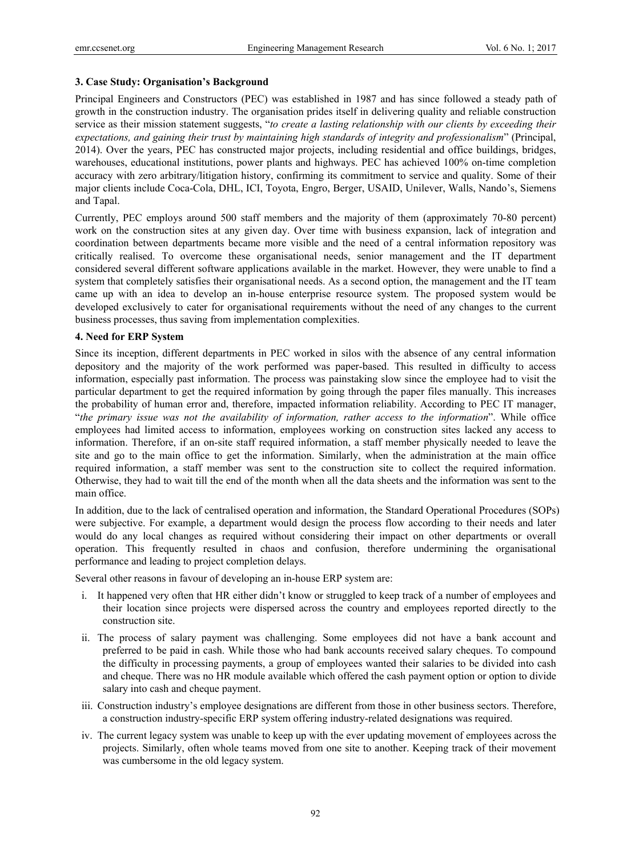## **3. Case Study: Organisation's Background**

Principal Engineers and Constructors (PEC) was established in 1987 and has since followed a steady path of growth in the construction industry. The organisation prides itself in delivering quality and reliable construction service as their mission statement suggests, "*to create a lasting relationship with our clients by exceeding their expectations, and gaining their trust by maintaining high standards of integrity and professionalism*" (Principal, 2014). Over the years, PEC has constructed major projects, including residential and office buildings, bridges, warehouses, educational institutions, power plants and highways. PEC has achieved 100% on-time completion accuracy with zero arbitrary/litigation history, confirming its commitment to service and quality. Some of their major clients include Coca-Cola, DHL, ICI, Toyota, Engro, Berger, USAID, Unilever, Walls, Nando's, Siemens and Tapal.

Currently, PEC employs around 500 staff members and the majority of them (approximately 70-80 percent) work on the construction sites at any given day. Over time with business expansion, lack of integration and coordination between departments became more visible and the need of a central information repository was critically realised. To overcome these organisational needs, senior management and the IT department considered several different software applications available in the market. However, they were unable to find a system that completely satisfies their organisational needs. As a second option, the management and the IT team came up with an idea to develop an in-house enterprise resource system. The proposed system would be developed exclusively to cater for organisational requirements without the need of any changes to the current business processes, thus saving from implementation complexities.

## **4. Need for ERP System**

Since its inception, different departments in PEC worked in silos with the absence of any central information depository and the majority of the work performed was paper-based. This resulted in difficulty to access information, especially past information. The process was painstaking slow since the employee had to visit the particular department to get the required information by going through the paper files manually. This increases the probability of human error and, therefore, impacted information reliability. According to PEC IT manager, "*the primary issue was not the availability of information, rather access to the information*". While office employees had limited access to information, employees working on construction sites lacked any access to information. Therefore, if an on-site staff required information, a staff member physically needed to leave the site and go to the main office to get the information. Similarly, when the administration at the main office required information, a staff member was sent to the construction site to collect the required information. Otherwise, they had to wait till the end of the month when all the data sheets and the information was sent to the main office.

In addition, due to the lack of centralised operation and information, the Standard Operational Procedures (SOPs) were subjective. For example, a department would design the process flow according to their needs and later would do any local changes as required without considering their impact on other departments or overall operation. This frequently resulted in chaos and confusion, therefore undermining the organisational performance and leading to project completion delays.

Several other reasons in favour of developing an in-house ERP system are:

- i. It happened very often that HR either didn't know or struggled to keep track of a number of employees and their location since projects were dispersed across the country and employees reported directly to the construction site.
- ii. The process of salary payment was challenging. Some employees did not have a bank account and preferred to be paid in cash. While those who had bank accounts received salary cheques. To compound the difficulty in processing payments, a group of employees wanted their salaries to be divided into cash and cheque. There was no HR module available which offered the cash payment option or option to divide salary into cash and cheque payment.
- iii. Construction industry's employee designations are different from those in other business sectors. Therefore, a construction industry-specific ERP system offering industry-related designations was required.
- iv. The current legacy system was unable to keep up with the ever updating movement of employees across the projects. Similarly, often whole teams moved from one site to another. Keeping track of their movement was cumbersome in the old legacy system.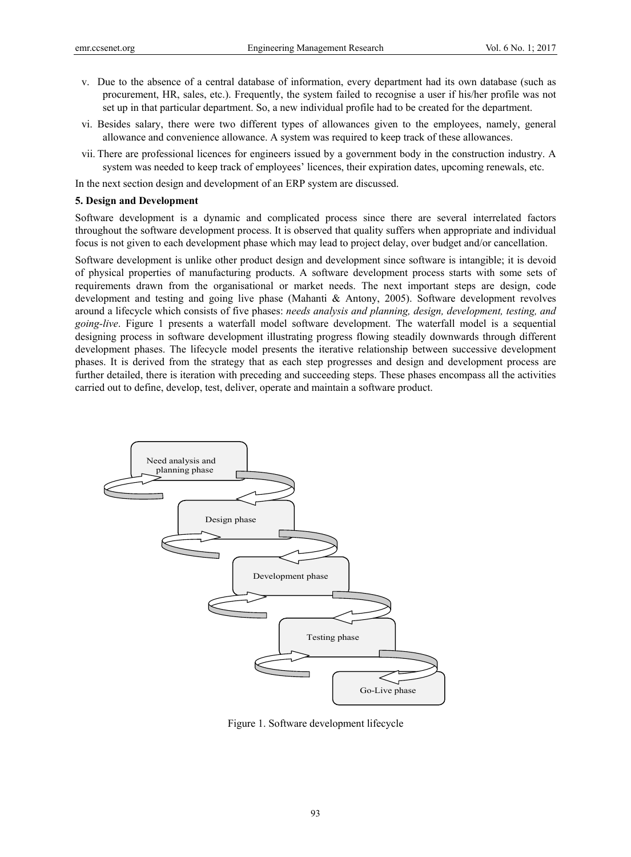- v. Due to the absence of a central database of information, every department had its own database (such as procurement, HR, sales, etc.). Frequently, the system failed to recognise a user if his/her profile was not set up in that particular department. So, a new individual profile had to be created for the department.
- vi. Besides salary, there were two different types of allowances given to the employees, namely, general allowance and convenience allowance. A system was required to keep track of these allowances.
- vii. There are professional licences for engineers issued by a government body in the construction industry. A system was needed to keep track of employees' licences, their expiration dates, upcoming renewals, etc.

In the next section design and development of an ERP system are discussed.

#### **5. Design and Development**

Software development is a dynamic and complicated process since there are several interrelated factors throughout the software development process. It is observed that quality suffers when appropriate and individual focus is not given to each development phase which may lead to project delay, over budget and/or cancellation.

Software development is unlike other product design and development since software is intangible; it is devoid of physical properties of manufacturing products. A software development process starts with some sets of requirements drawn from the organisational or market needs. The next important steps are design, code development and testing and going live phase (Mahanti & Antony, 2005). Software development revolves around a lifecycle which consists of five phases: *needs analysis and planning, design, development, testing, and going-live*. Figure 1 presents a waterfall model software development. The waterfall model is a sequential designing process in software development illustrating progress flowing steadily downwards through different development phases. The lifecycle model presents the iterative relationship between successive development phases. It is derived from the strategy that as each step progresses and design and development process are further detailed, there is iteration with preceding and succeeding steps. These phases encompass all the activities carried out to define, develop, test, deliver, operate and maintain a software product.



Figure 1. Software development lifecycle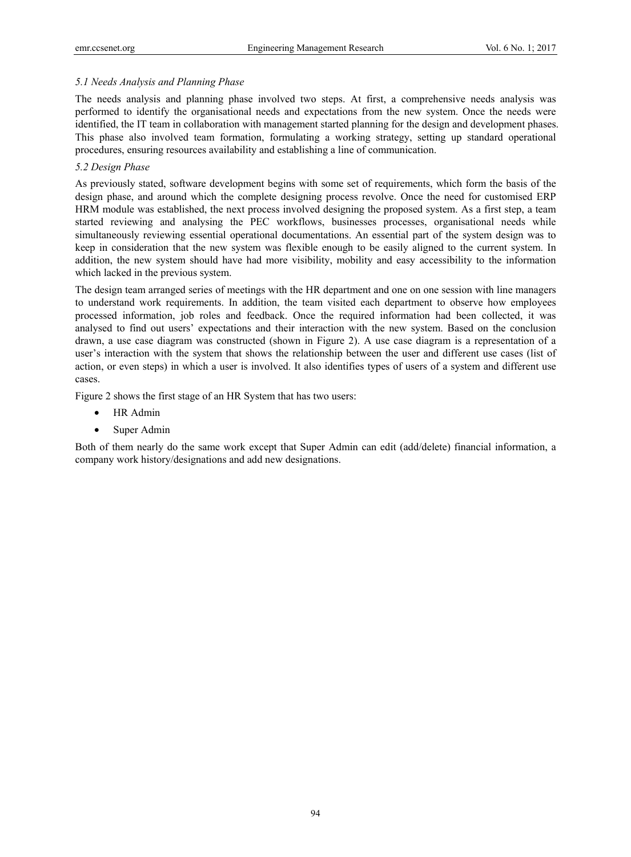## *5.1 Needs Analysis and Planning Phase*

The needs analysis and planning phase involved two steps. At first, a comprehensive needs analysis was performed to identify the organisational needs and expectations from the new system. Once the needs were identified, the IT team in collaboration with management started planning for the design and development phases. This phase also involved team formation, formulating a working strategy, setting up standard operational procedures, ensuring resources availability and establishing a line of communication.

# *5.2 Design Phase*

As previously stated, software development begins with some set of requirements, which form the basis of the design phase, and around which the complete designing process revolve. Once the need for customised ERP HRM module was established, the next process involved designing the proposed system. As a first step, a team started reviewing and analysing the PEC workflows, businesses processes, organisational needs while simultaneously reviewing essential operational documentations. An essential part of the system design was to keep in consideration that the new system was flexible enough to be easily aligned to the current system. In addition, the new system should have had more visibility, mobility and easy accessibility to the information which lacked in the previous system.

The design team arranged series of meetings with the HR department and one on one session with line managers to understand work requirements. In addition, the team visited each department to observe how employees processed information, job roles and feedback. Once the required information had been collected, it was analysed to find out users' expectations and their interaction with the new system. Based on the conclusion drawn, a use case diagram was constructed (shown in Figure 2). A use case diagram is a representation of a user's interaction with the system that shows the relationship between the user and different use cases (list of action, or even steps) in which a user is involved. It also identifies types of users of a system and different use cases.

Figure 2 shows the first stage of an HR System that has two users:

- HR Admin
- Super Admin

Both of them nearly do the same work except that Super Admin can edit (add/delete) financial information, a company work history/designations and add new designations.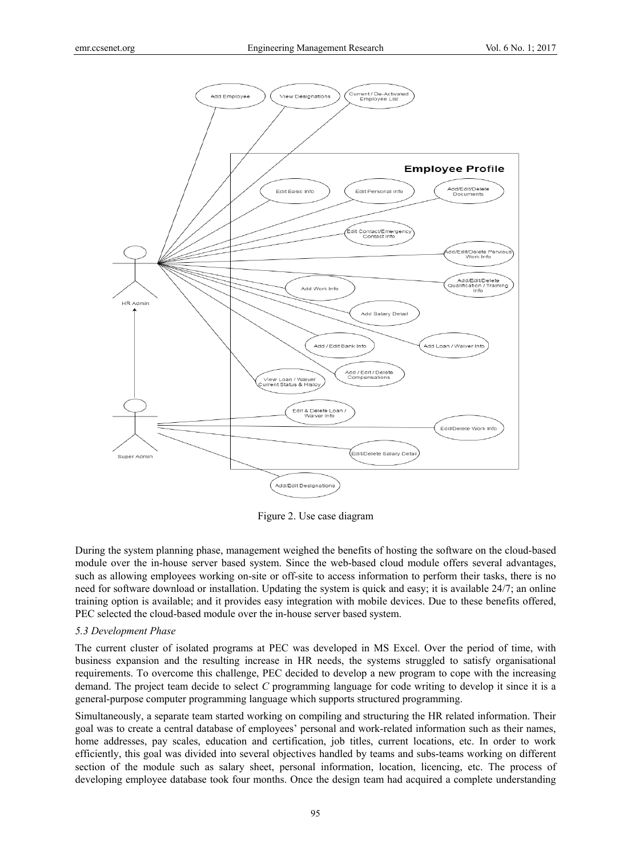

Figure 2. Use case diagram

During the system planning phase, management weighed the benefits of hosting the software on the cloud-based module over the in-house server based system. Since the web-based cloud module offers several advantages, such as allowing employees working on-site or off-site to access information to perform their tasks, there is no need for software download or installation. Updating the system is quick and easy; it is available 24/7; an online training option is available; and it provides easy integration with mobile devices. Due to these benefits offered, PEC selected the cloud-based module over the in-house server based system.

# *5.3 Development Phase*

The current cluster of isolated programs at PEC was developed in MS Excel. Over the period of time, with business expansion and the resulting increase in HR needs, the systems struggled to satisfy organisational requirements. To overcome this challenge, PEC decided to develop a new program to cope with the increasing demand. The project team decide to select *C* programming language for code writing to develop it since it is a general-purpose computer programming language which supports structured programming.

Simultaneously, a separate team started working on compiling and structuring the HR related information. Their goal was to create a central database of employees' personal and work-related information such as their names, home addresses, pay scales, education and certification, job titles, current locations, etc. In order to work efficiently, this goal was divided into several objectives handled by teams and subs-teams working on different section of the module such as salary sheet, personal information, location, licencing, etc. The process of developing employee database took four months. Once the design team had acquired a complete understanding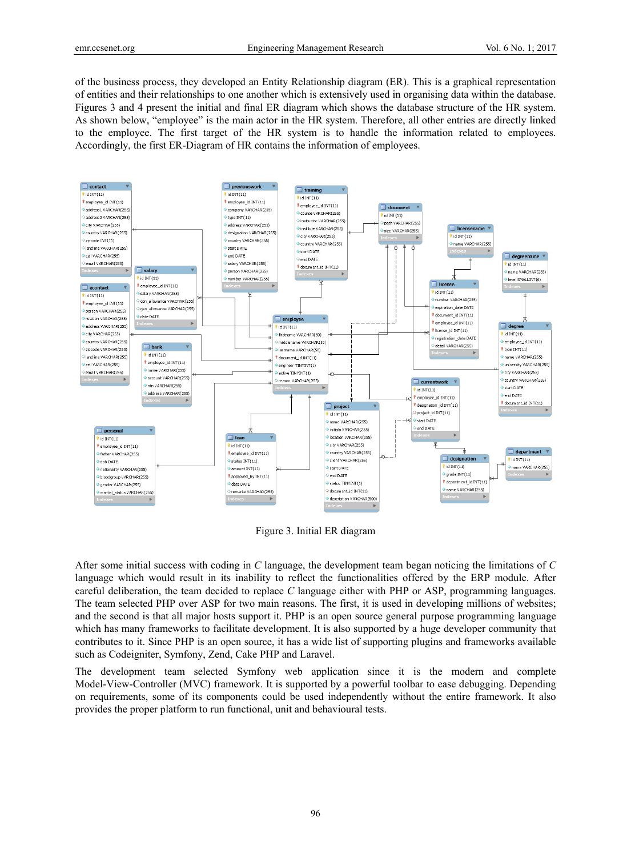of the business process, they developed an Entity Relationship diagram (ER). This is a graphical representation of entities and their relationships to one another which is extensively used in organising data within the database. Figures 3 and 4 present the initial and final ER diagram which shows the database structure of the HR system. As shown below, "employee" is the main actor in the HR system. Therefore, all other entries are directly linked to the employee. The first target of the HR system is to handle the information related to employees. Accordingly, the first ER-Diagram of HR contains the information of employees.



Figure 3. Initial ER diagram

After some initial success with coding in *C* language, the development team began noticing the limitations of *C* language which would result in its inability to reflect the functionalities offered by the ERP module. After careful deliberation, the team decided to replace *C* language either with PHP or ASP, programming languages. The team selected PHP over ASP for two main reasons. The first, it is used in developing millions of websites; and the second is that all major hosts support it. PHP is an open source general purpose programming language which has many frameworks to facilitate development. It is also supported by a huge developer community that contributes to it. Since PHP is an open source, it has a wide list of supporting plugins and frameworks available such as Codeigniter, Symfony, Zend, Cake PHP and Laravel.

The development team selected Symfony web application since it is the modern and complete Model-View-Controller (MVC) framework. It is supported by a powerful toolbar to ease debugging. Depending on requirements, some of its components could be used independently without the entire framework. It also provides the proper platform to run functional, unit and behavioural tests.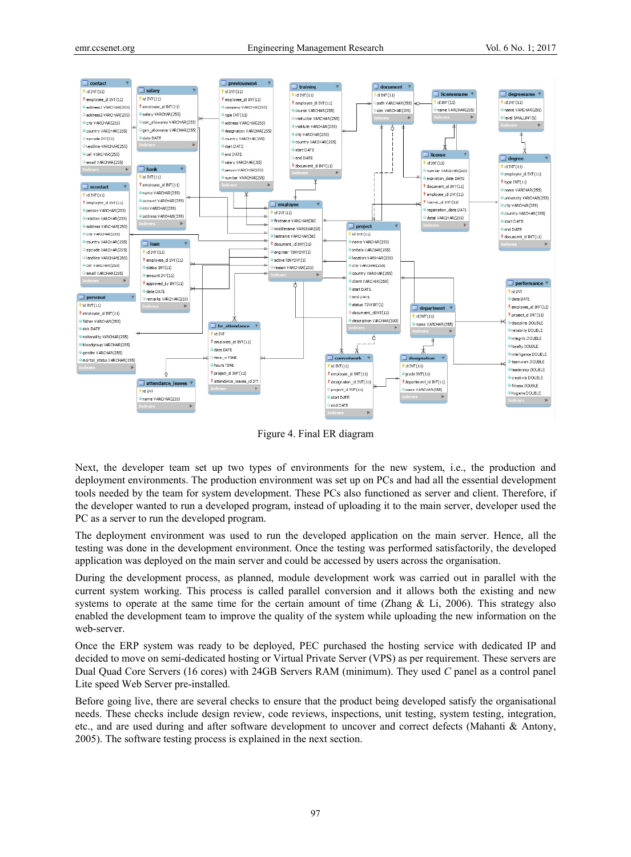

Figure 4. Final ER diagram

Next, the developer team set up two types of environments for the new system, i.e., the production and deployment environments. The production environment was set up on PCs and had all the essential development tools needed by the team for system development. These PCs also functioned as server and client. Therefore, if the developer wanted to run a developed program, instead of uploading it to the main server, developer used the PC as a server to run the developed program.

The deployment environment was used to run the developed application on the main server. Hence, all the testing was done in the development environment. Once the testing was performed satisfactorily, the developed application was deployed on the main server and could be accessed by users across the organisation.

During the development process, as planned, module development work was carried out in parallel with the current system working. This process is called parallel conversion and it allows both the existing and new systems to operate at the same time for the certain amount of time (Zhang & Li, 2006). This strategy also enabled the development team to improve the quality of the system while uploading the new information on the web-server.

Once the ERP system was ready to be deployed, PEC purchased the hosting service with dedicated IP and decided to move on semi-dedicated hosting or Virtual Private Server (VPS) as per requirement. These servers are Dual Quad Core Servers (16 cores) with 24GB Servers RAM (minimum). They used *C* panel as a control panel Lite speed Web Server pre-installed.

Before going live, there are several checks to ensure that the product being developed satisfy the organisational needs. These checks include design review, code reviews, inspections, unit testing, system testing, integration, etc., and are used during and after software development to uncover and correct defects (Mahanti & Antony, 2005). The software testing process is explained in the next section.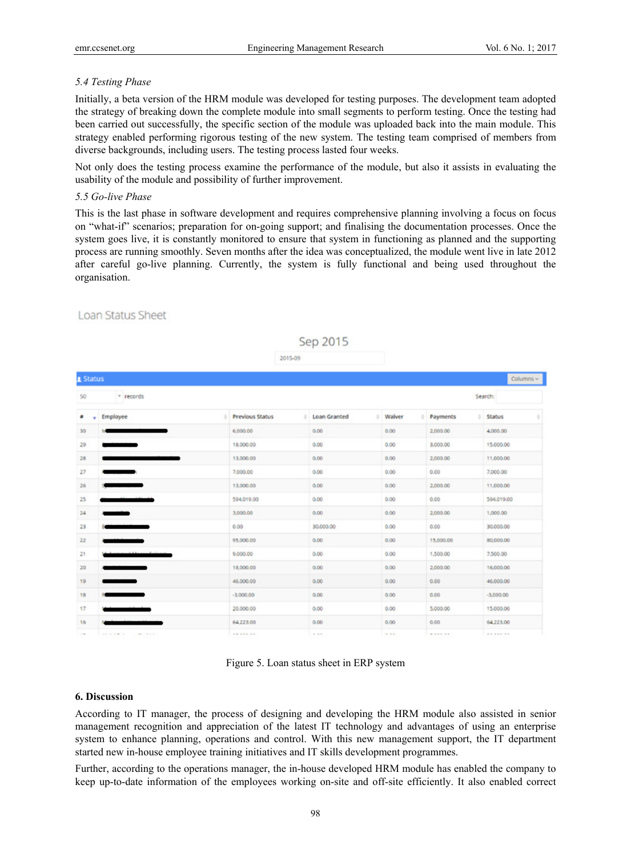## *5.4 Testing Phase*

Initially, a beta version of the HRM module was developed for testing purposes. The development team adopted the strategy of breaking down the complete module into small segments to perform testing. Once the testing had been carried out successfully, the specific section of the module was uploaded back into the main module. This strategy enabled performing rigorous testing of the new system. The testing team comprised of members from diverse backgrounds, including users. The testing process lasted four weeks.

Not only does the testing process examine the performance of the module, but also it assists in evaluating the usability of the module and possibility of further improvement.

## *5.5 Go-live Phase*

This is the last phase in software development and requires comprehensive planning involving a focus on focus on "what-if" scenarios; preparation for on-going support; and finalising the documentation processes. Once the system goes live, it is constantly monitored to ensure that system in functioning as planned and the supporting process are running smoothly. Seven months after the idea was conceptualized, the module went live in late 2012 after careful go-live planning. Currently, the system is fully functional and being used throughout the organisation.

Sep 2015

## **Loan Status Sheet**

|                            |                                   | 2015-09                |  | . .          |                   |               |                   |               |  |  |  |
|----------------------------|-----------------------------------|------------------------|--|--------------|-------------------|---------------|-------------------|---------------|--|--|--|
|                            | Columns $\sim$<br><b>R</b> Status |                        |  |              |                   |               |                   |               |  |  |  |
| 50<br>* records<br>Search: |                                   |                        |  |              |                   |               |                   |               |  |  |  |
| ٠<br>٠                     | Employee                          | <b>Previous Status</b> |  | Loan Granted |                   | <b>Walver</b> | Payments<br>a i   | <b>Status</b> |  |  |  |
| 30                         |                                   | 6,000.00               |  | 0.00         |                   | 0.00          | 2,000.00          | 4,000.00      |  |  |  |
| 29                         |                                   | 18.000.00              |  | 0.00         |                   | 0.00          | 3,000.00          | 15,000.00     |  |  |  |
| 28                         |                                   | 13,000.00              |  | 0.00         |                   | 0.00          | 2,000.00          | 11,000.00     |  |  |  |
| 27                         | $\overline{\phantom{a}}$          | 7,000.00               |  | 0.00         |                   | 0.00          | 0.00              | 7,000.00      |  |  |  |
| 26                         |                                   | 13,000.00              |  | 0.00         |                   | 0.00          | 2,000.00          | 11,000.00     |  |  |  |
| 25                         |                                   | 594.019.00             |  | 0.00         |                   | 0.00          | 0.00              | 594.019.00    |  |  |  |
| 24                         |                                   | 3,000.00               |  | 0.00         | 0.00              |               | 2,000.00          | 1,000.00      |  |  |  |
| $23 -$                     |                                   | 0.00.                  |  | 30.000.00    |                   | 0.00          | 0.00              | 30,000.00     |  |  |  |
| 22                         |                                   | 95,000.00              |  | 0.00         | 0.00              |               | 15,000.00         | 80,000.00     |  |  |  |
| 21                         | $P = 1$                           | 9.000.00               |  | 0.00         |                   | 0.00          | 1,500.00          | 7,500.00      |  |  |  |
| 20                         |                                   | 18,000.00              |  | 0.00         |                   | 0.00          | 2,000.00          | 16,000.00     |  |  |  |
| 19 <sub>19</sub>           |                                   | 46.000.00              |  | 0.00         |                   | 0.00          | 0.00              | 46,000.00     |  |  |  |
| 18                         |                                   | $-3.000.00$            |  | 0.00         |                   | 0.00          | 0.00              | $-3,000.00$   |  |  |  |
| 17                         |                                   | 20.000.00              |  | 0.00         |                   | 0.00          | 5,000.00          | 15,000.00     |  |  |  |
| 16                         |                                   | 64,223.00              |  | 0.00         |                   | 0.00          | 0.00              | 64,223.00     |  |  |  |
|                            | .<br>complete the part of the     | -------                |  | $-$          | <b>CONTRACTOR</b> |               | <b>CONTRACTOR</b> | -------       |  |  |  |

Figure 5. Loan status sheet in ERP system

## **6. Discussion**

According to IT manager, the process of designing and developing the HRM module also assisted in senior management recognition and appreciation of the latest IT technology and advantages of using an enterprise system to enhance planning, operations and control. With this new management support, the IT department started new in-house employee training initiatives and IT skills development programmes.

Further, according to the operations manager, the in-house developed HRM module has enabled the company to keep up-to-date information of the employees working on-site and off-site efficiently. It also enabled correct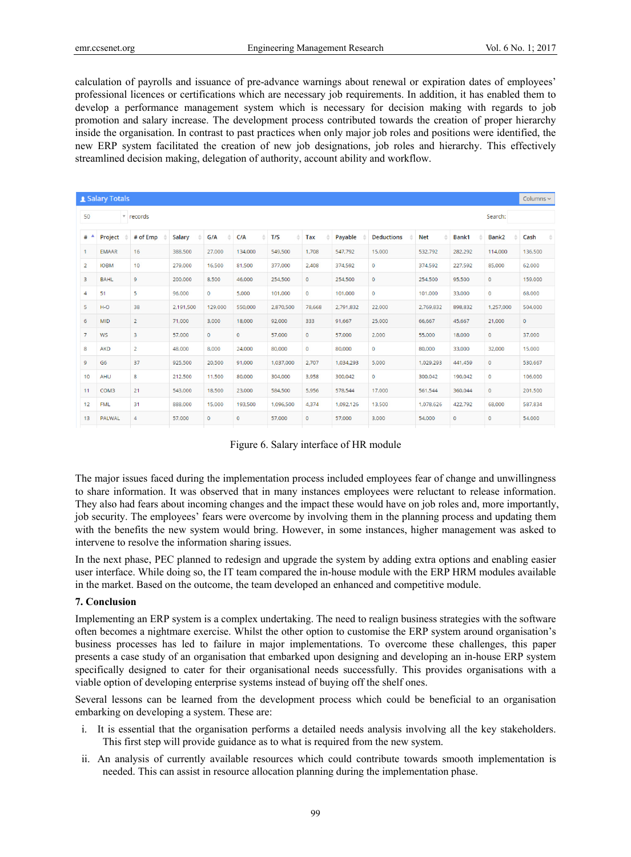calculation of payrolls and issuance of pre-advance warnings about renewal or expiration dates of employees' professional licences or certifications which are necessary job requirements. In addition, it has enabled them to develop a performance management system which is necessary for decision making with regards to job promotion and salary increase. The development process contributed towards the creation of proper hierarchy inside the organisation. In contrast to past practices when only major job roles and positions were identified, the new ERP system facilitated the creation of new job designations, job roles and hierarchy. This effectively streamlined decision making, delegation of authority, account ability and workflow.

| Salary Totals                         |                |                |                    |              |              |           |              |           |                   |            | Columns ~ |              |         |
|---------------------------------------|----------------|----------------|--------------------|--------------|--------------|-----------|--------------|-----------|-------------------|------------|-----------|--------------|---------|
| 50<br>Search:<br>▼ records            |                |                |                    |              |              |           |              |           |                   |            |           |              |         |
| $#$ <sup><math>\triangle</math></sup> | Project        | # of Emp       | <b>Salary</b><br>÷ | G/A<br>۵     | C/A          | T/S<br>۵  | Tax          | Payable   | <b>Deductions</b> | <b>Net</b> | Bank1     | Bank2        | Cash    |
| 1                                     | <b>EMAAR</b>   | 16             | 388,500            | 27,000       | 134,000      | 549,500   | 1,708        | 547,792   | 15,000            | 532,792    | 282,292   | 114,000      | 136,500 |
| $\overline{2}$                        | <b>IOBM</b>    | 10             | 279,000            | 16,500       | 81.500       | 377,000   | 2,408        | 374,592   | $\circ$           | 374.592    | 227.592   | 85,000       | 62.000  |
| 3                                     | <b>BAHL</b>    | 9              | 200,000            | 8,500        | 46,000       | 254,500   | $\circ$      | 254,500   | $\circ$           | 254,500    | 95,500    | $\mathbf 0$  | 159,000 |
| 4                                     | 51             | 5              | 96,000             | $\mathbf 0$  | 5,000        | 101,000   | $\mathbf 0$  | 101,000   | $\mathbf 0$       | 101,000    | 33,000    | $\circ$      | 68,000  |
| 5                                     | $H-O$          | 38             | 2,191,500          | 129,000      | 550,000      | 2,870,500 | 78,668       | 2,791,832 | 22,000            | 2.769.832  | 898.832   | 1,257,000    | 504,000 |
| 6                                     | <b>MID</b>     | $\overline{a}$ | 71,000             | 3,000        | 18,000       | 92,000    | 333          | 91,667    | 25,000            | 66,667     | 45,667    | 21,000       | $\circ$ |
| $7\overline{ }$                       | <b>WS</b>      | 3              | 57,000             | $\mathbf{0}$ | $\mathbf{O}$ | 57,000    | $\circ$      | 57,000    | 2,000             | 55,000     | 18,000    | $\circ$      | 37,000  |
| 8                                     | <b>AKD</b>     | $\overline{2}$ | 48,000             | 8,000        | 24,000       | 80,000    | $\mathbf{O}$ | 80,000    | $\circ$           | 80,000     | 33,000    | 32,000       | 15,000  |
| 9                                     | G <sub>6</sub> | 37             | 925,500            | 20,500       | 91.000       | 1.037.000 | 2.707        | 1.034.293 | 5,000             | 1.029.293  | 441.459   | $\mathbf{0}$ | 530.667 |
| 10                                    | <b>AHU</b>     | 8              | 212,500            | 11,500       | 80,000       | 304,000   | 3,958        | 300,042   | $\mathbf{0}$      | 300,042    | 190.042   | $\mathbf{0}$ | 106,000 |
| 11                                    | COM3           | 21             | 543,000            | 18,500       | 23,000       | 584,500   | 5,956        | 578,544   | 17,000            | 561,544    | 360.044   | $\circ$      | 201,500 |
| 12                                    | <b>FML</b>     | 31             | 888,000            | 15,000       | 193,500      | 1.096.500 | 4,374        | 1.092.126 | 13,500            | 1.078.626  | 422.792   | 68,000       | 587.834 |
| 13                                    | <b>PALWAL</b>  | 4              | 57,000             | $\circ$      | $\circ$      | 57,000    | $\circ$      | 57,000    | 3,000             | 54,000     | O         | $\circ$      | 54,000  |

Figure 6. Salary interface of HR module

The major issues faced during the implementation process included employees fear of change and unwillingness to share information. It was observed that in many instances employees were reluctant to release information. They also had fears about incoming changes and the impact these would have on job roles and, more importantly, job security. The employees' fears were overcome by involving them in the planning process and updating them with the benefits the new system would bring. However, in some instances, higher management was asked to intervene to resolve the information sharing issues.

In the next phase, PEC planned to redesign and upgrade the system by adding extra options and enabling easier user interface. While doing so, the IT team compared the in-house module with the ERP HRM modules available in the market. Based on the outcome, the team developed an enhanced and competitive module.

#### **7. Conclusion**

Implementing an ERP system is a complex undertaking. The need to realign business strategies with the software often becomes a nightmare exercise. Whilst the other option to customise the ERP system around organisation's business processes has led to failure in major implementations. To overcome these challenges, this paper presents a case study of an organisation that embarked upon designing and developing an in-house ERP system specifically designed to cater for their organisational needs successfully. This provides organisations with a viable option of developing enterprise systems instead of buying off the shelf ones.

Several lessons can be learned from the development process which could be beneficial to an organisation embarking on developing a system. These are:

- i. It is essential that the organisation performs a detailed needs analysis involving all the key stakeholders. This first step will provide guidance as to what is required from the new system.
- ii. An analysis of currently available resources which could contribute towards smooth implementation is needed. This can assist in resource allocation planning during the implementation phase.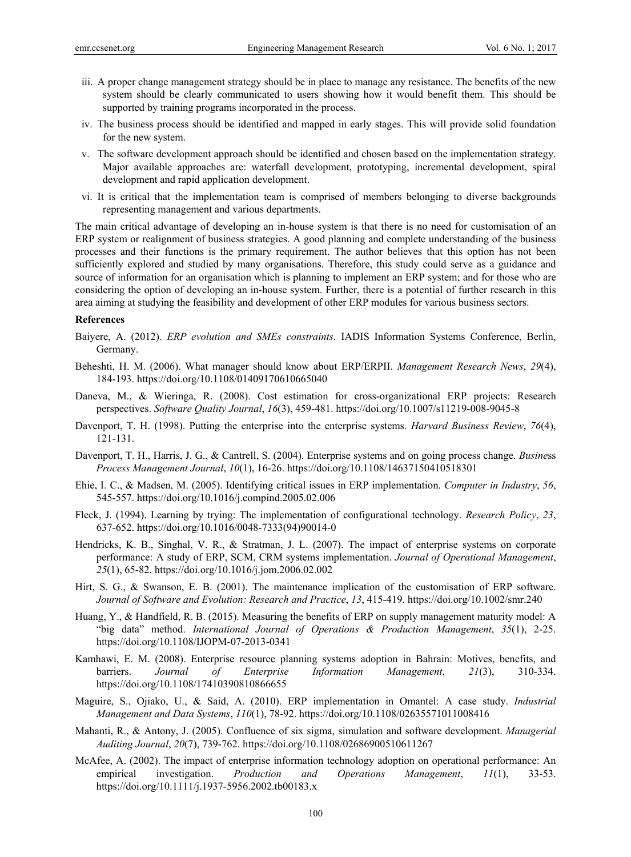- iii. A proper change management strategy should be in place to manage any resistance. The benefits of the new system should be clearly communicated to users showing how it would benefit them. This should be supported by training programs incorporated in the process.
- iv. The business process should be identified and mapped in early stages. This will provide solid foundation for the new system.
- v. The software development approach should be identified and chosen based on the implementation strategy. Major available approaches are: waterfall development, prototyping, incremental development, spiral development and rapid application development.
- vi. It is critical that the implementation team is comprised of members belonging to diverse backgrounds representing management and various departments.

The main critical advantage of developing an in-house system is that there is no need for customisation of an ERP system or realignment of business strategies. A good planning and complete understanding of the business processes and their functions is the primary requirement. The author believes that this option has not been sufficiently explored and studied by many organisations. Therefore, this study could serve as a guidance and source of information for an organisation which is planning to implement an ERP system; and for those who are considering the option of developing an in-house system. Further, there is a potential of further research in this area aiming at studying the feasibility and development of other ERP modules for various business sectors.

#### **References**

- Baiyere, A. (2012). *ERP evolution and SMEs constraints*. IADIS Information Systems Conference, Berlin, Germany.
- Beheshti, H. M. (2006). What manager should know about ERP/ERPII. *Management Research News*, *29*(4), 184-193. https://doi.org/10.1108/01409170610665040
- Daneva, M., & Wieringa, R. (2008). Cost estimation for cross-organizational ERP projects: Research perspectives. *Software Quality Journal*, *16*(3), 459-481. https://doi.org/10.1007/s11219-008-9045-8
- Davenport, T. H. (1998). Putting the enterprise into the enterprise systems. *Harvard Business Review*, *76*(4), 121-131.
- Davenport, T. H., Harris, J. G., & Cantrell, S. (2004). Enterprise systems and on going process change. *Busine*ss *Process Management Journal*, *10*(1), 16-26. https://doi.org/10.1108/14637150410518301
- Ehie, I. C., & Madsen, M. (2005). Identifying critical issues in ERP implementation. *Computer in Industry*, *56*, 545-557. https://doi.org/10.1016/j.compind.2005.02.006
- Fleck, J. (1994). Learning by trying: The implementation of configurational technology. *Research Policy*, *23*, 637-652. https://doi.org/10.1016/0048-7333(94)90014-0
- Hendricks, K. B., Singhal, V. R., & Stratman, J. L. (2007). The impact of enterprise systems on corporate performance: A study of ERP, SCM, CRM systems implementation. *Journal of Operational Management*, *25*(1), 65-82. https://doi.org/10.1016/j.jom.2006.02.002
- Hirt, S. G., & Swanson, E. B. (2001). The maintenance implication of the customisation of ERP software. *Journal of Software and Evolution: Research and Practice*, *13*, 415-419. https://doi.org/10.1002/smr.240
- Huang, Y., & Handfield, R. B. (2015). Measuring the benefits of ERP on supply management maturity model: A "big data" method. *International Journal of Operations & Production Management*, *35*(1), 2-25. https://doi.org/10.1108/IJOPM-07-2013-0341
- Kamhawi, E. M. (2008). Enterprise resource planning systems adoption in Bahrain: Motives, benefits, and barriers. *Journal of Enterprise Information Management*, *21*(3), 310-334. https://doi.org/10.1108/17410390810866655
- Maguire, S., Ojiako, U., & Said, A. (2010). ERP implementation in Omantel: A case study. *Industrial Management and Data Systems*, *110*(1), 78-92. https://doi.org/10.1108/02635571011008416
- Mahanti, R., & Antony, J. (2005). Confluence of six sigma, simulation and software development. *Managerial Auditing Journal*, *20*(7), 739-762. https://doi.org/10.1108/02686900510611267
- McAfee, A. (2002). The impact of enterprise information technology adoption on operational performance: An empirical investigation. *Production and Operations Management*, *11*(1), 33-53. https://doi.org/10.1111/j.1937-5956.2002.tb00183.x